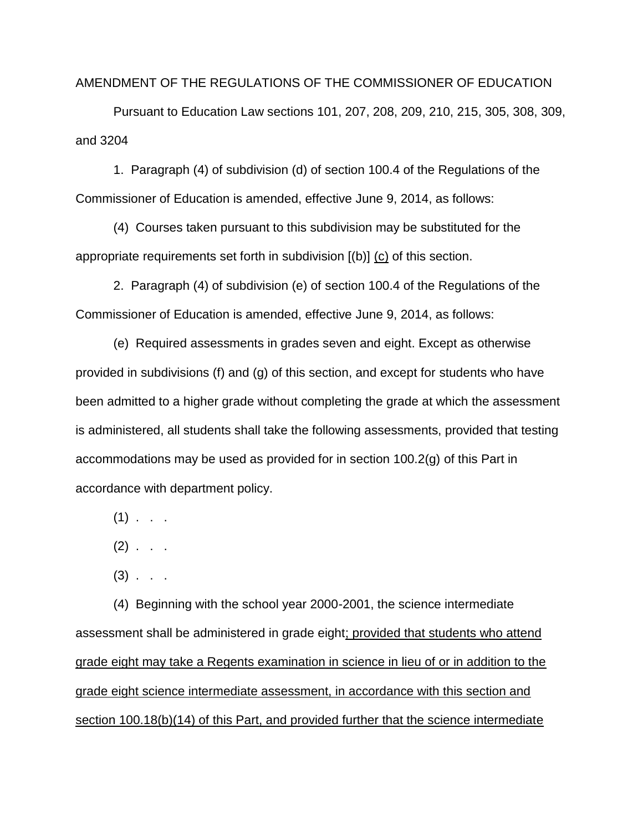AMENDMENT OF THE REGULATIONS OF THE COMMISSIONER OF EDUCATION

Pursuant to Education Law sections 101, 207, 208, 209, 210, 215, 305, 308, 309, and 3204

1. Paragraph (4) of subdivision (d) of section 100.4 of the Regulations of the Commissioner of Education is amended, effective June 9, 2014, as follows:

(4) Courses taken pursuant to this subdivision may be substituted for the appropriate requirements set forth in subdivision [(b)] (c) of this section.

2. Paragraph (4) of subdivision (e) of section 100.4 of the Regulations of the Commissioner of Education is amended, effective June 9, 2014, as follows:

(e) Required assessments in grades seven and eight. Except as otherwise provided in subdivisions (f) and (g) of this section, and except for students who have been admitted to a higher grade without completing the grade at which the assessment is administered, all students shall take the following assessments, provided that testing accommodations may be used as provided for in section 100.2(g) of this Part in accordance with department policy.

 $(1)$  . .

 $(2)$  . . .

 $(3)$  . . .

(4) Beginning with the school year 2000-2001, the science intermediate assessment shall be administered in grade eight; provided that students who attend grade eight may take a Regents examination in science in lieu of or in addition to the grade eight science intermediate assessment, in accordance with this section and section 100.18(b)(14) of this Part, and provided further that the science intermediate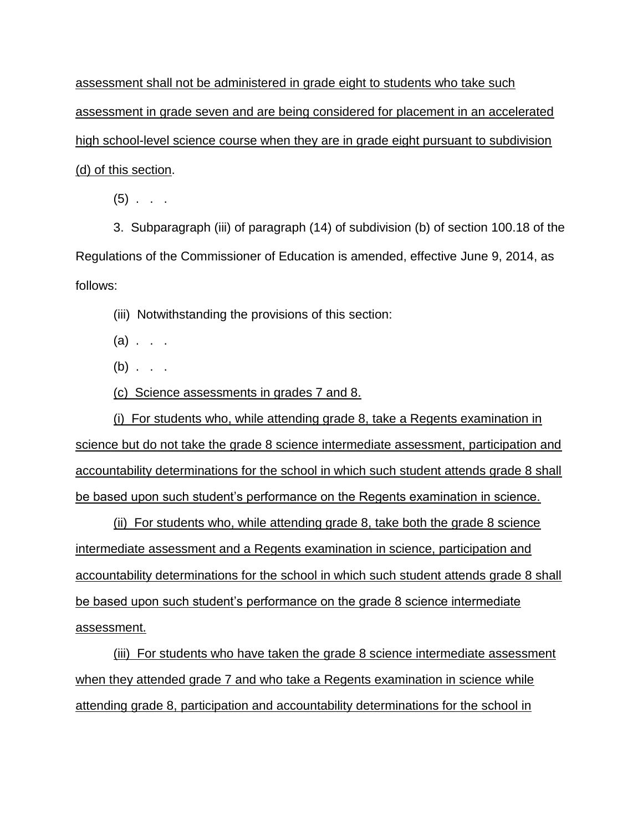assessment shall not be administered in grade eight to students who take such assessment in grade seven and are being considered for placement in an accelerated high school-level science course when they are in grade eight pursuant to subdivision (d) of this section.

 $(5)$  . . .

3. Subparagraph (iii) of paragraph (14) of subdivision (b) of section 100.18 of the Regulations of the Commissioner of Education is amended, effective June 9, 2014, as follows:

(iii) Notwithstanding the provisions of this section:

 $(a)$  . . .

 $(b)$  . . .

(c) Science assessments in grades 7 and 8.

(i) For students who, while attending grade 8, take a Regents examination in science but do not take the grade 8 science intermediate assessment, participation and accountability determinations for the school in which such student attends grade 8 shall be based upon such student's performance on the Regents examination in science.

(ii) For students who, while attending grade 8, take both the grade 8 science intermediate assessment and a Regents examination in science, participation and accountability determinations for the school in which such student attends grade 8 shall be based upon such student's performance on the grade 8 science intermediate assessment.

(iii) For students who have taken the grade 8 science intermediate assessment when they attended grade 7 and who take a Regents examination in science while attending grade 8, participation and accountability determinations for the school in